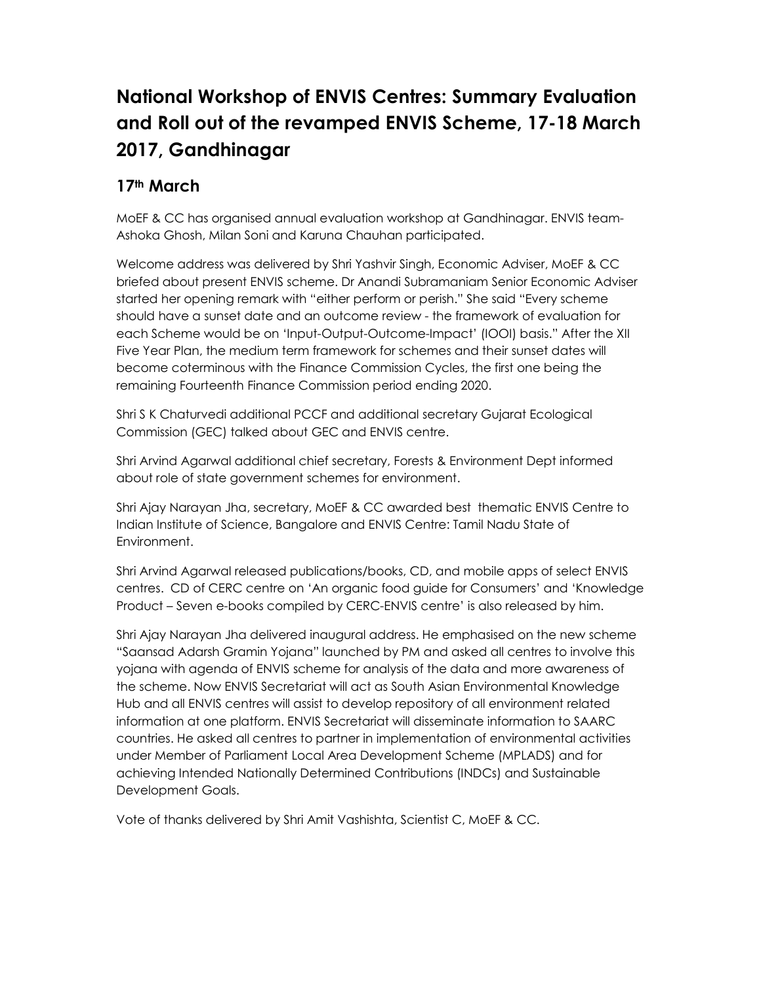# **National Workshop of ENVIS Centres: Summary Evaluation and Roll out of the revamped ENVIS Scheme, 17-18 March 2017, Gandhinagar**

## **17th March**

MoEF & CC has organised annual evaluation workshop at Gandhinagar. ENVIS team-Ashoka Ghosh, Milan Soni and Karuna Chauhan participated.

Welcome address was delivered by Shri Yashvir Singh, Economic Adviser, MoEF & CC briefed about present ENVIS scheme. Dr Anandi Subramaniam Senior Economic Adviser started her opening remark with "either perform or perish." She said "Every scheme should have a sunset date and an outcome review - the framework of evaluation for each Scheme would be on 'Input-Output-Outcome-Impact' (IOOI) basis." After the XII Five Year Plan, the medium term framework for schemes and their sunset dates will become coterminous with the Finance Commission Cycles, the first one being the remaining Fourteenth Finance Commission period ending 2020.

Shri S K Chaturvedi additional PCCF and additional secretary Gujarat Ecological Commission (GEC) talked about GEC and ENVIS centre.

Shri Arvind Agarwal additional chief secretary, Forests & Environment Dept informed about role of state government schemes for environment.

Shri Ajay Narayan Jha, secretary, MoEF & CC awarded best thematic ENVIS Centre to Indian Institute of Science, Bangalore and ENVIS Centre: Tamil Nadu State of Environment.

Shri Arvind Agarwal released publications/books, CD, and mobile apps of select ENVIS centres. CD of CERC centre on 'An organic food guide for Consumers' and 'Knowledge Product – Seven e-books compiled by CERC-ENVIS centre' is also released by him.

Shri Ajay Narayan Jha delivered inaugural address. He emphasised on the new scheme "Saansad Adarsh Gramin Yojana" launched by PM and asked all centres to involve this yojana with agenda of ENVIS scheme for analysis of the data and more awareness of the scheme. Now ENVIS Secretariat will act as South Asian Environmental Knowledge Hub and all ENVIS centres will assist to develop repository of all environment related information at one platform. ENVIS Secretariat will disseminate information to SAARC countries. He asked all centres to partner in implementation of environmental activities under Member of Parliament Local Area Development Scheme (MPLADS) and for achieving Intended Nationally Determined Contributions (INDCs) and Sustainable Development Goals.

Vote of thanks delivered by Shri Amit Vashishta, Scientist C, MoEF & CC.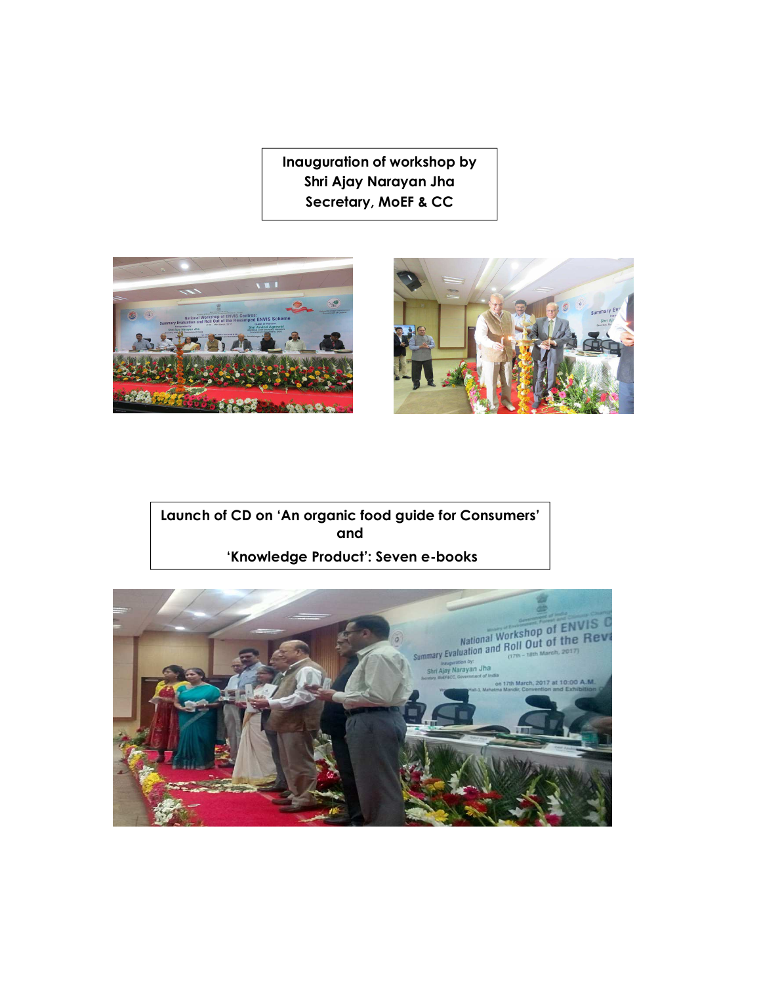**Inauguration of workshop by Shri Ajay Narayan Jha Secretary, MoEF & CC** 





**Launch of CD on 'An organic food guide for Consumers' and 'Knowledge Product': Seven e-books** 

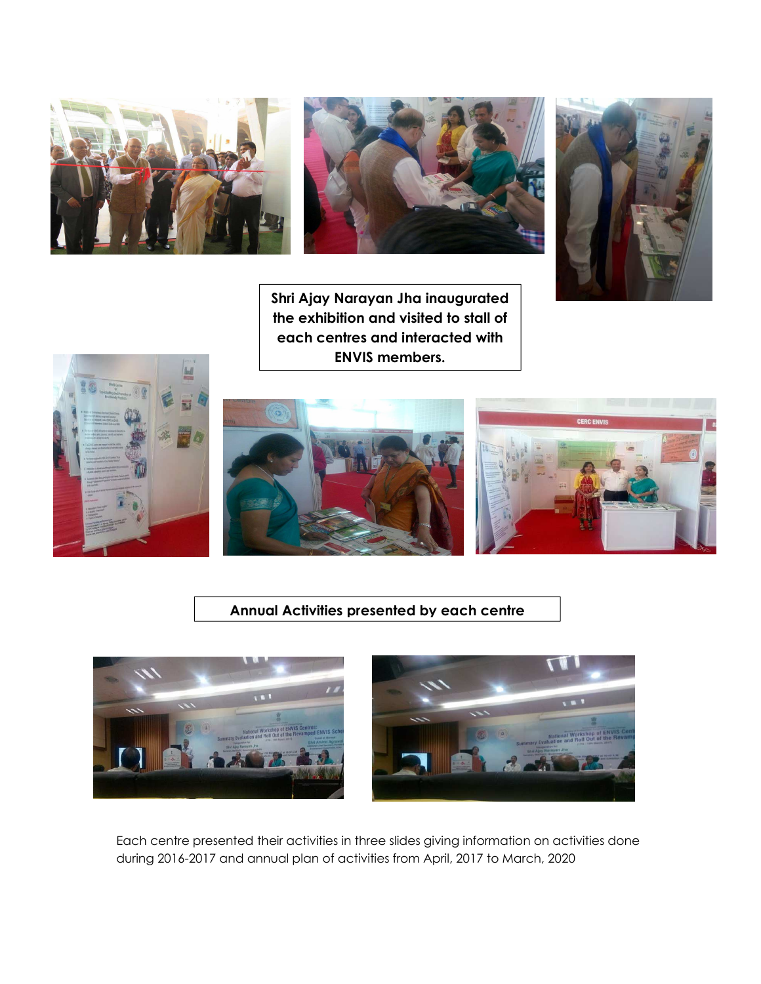



**Shri Ajay Narayan Jha inaugurated the exhibition and visited to stall of each centres and interacted with ENVIS members.**





### **Annual Activities presented by each centre**





Each centre presented their activities in three slides giving information on activities done during 2016-2017 and annual plan of activities from April, 2017 to March, 2020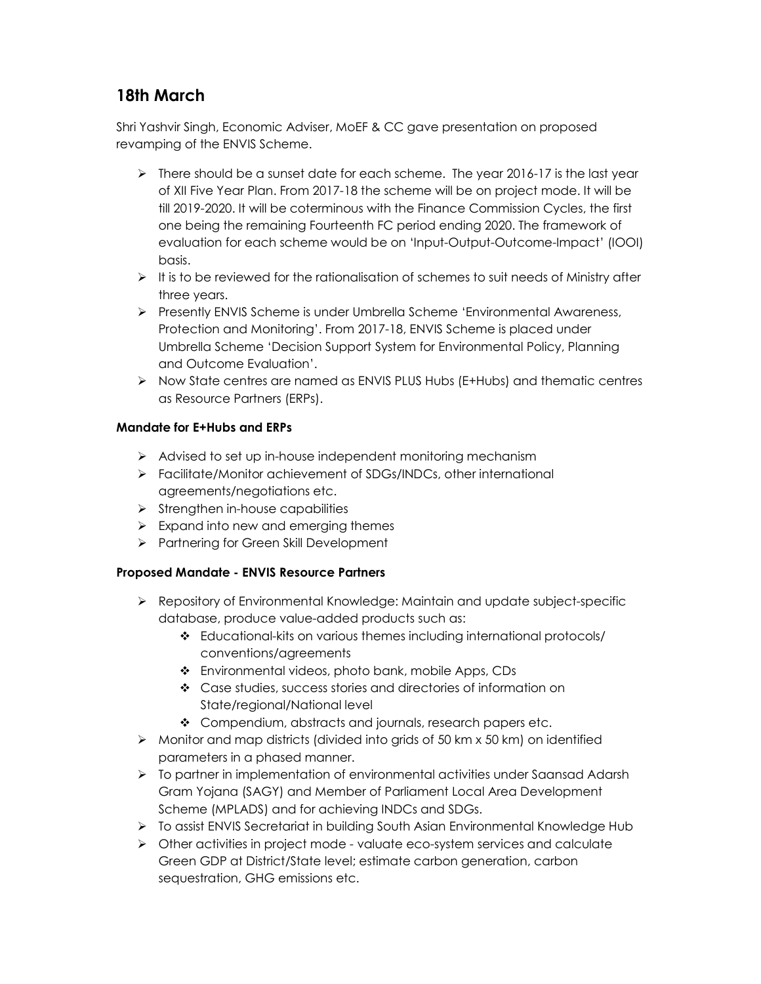# **18th March**

Shri Yashvir Singh, Economic Adviser, MoEF & CC gave presentation on proposed revamping of the ENVIS Scheme.

- $\triangleright$  There should be a sunset date for each scheme. The year 2016-17 is the last year of XII Five Year Plan. From 2017-18 the scheme will be on project mode. It will be till 2019-2020. It will be coterminous with the Finance Commission Cycles, the first one being the remaining Fourteenth FC period ending 2020. The framework of evaluation for each scheme would be on 'Input-Output-Outcome-Impact' (IOOI) basis.
- $\triangleright$  It is to be reviewed for the rationalisation of schemes to suit needs of Ministry after three years.
- Presently ENVIS Scheme is under Umbrella Scheme 'Environmental Awareness, Protection and Monitoring'. From 2017-18, ENVIS Scheme is placed under Umbrella Scheme 'Decision Support System for Environmental Policy, Planning and Outcome Evaluation'.
- $\triangleright$  Now State centres are named as ENVIS PLUS Hubs (E+Hubs) and thematic centres as Resource Partners (ERPs).

### **Mandate for E+Hubs and ERPs**

- $\triangleright$  Advised to set up in-house independent monitoring mechanism
- Facilitate/Monitor achievement of SDGs/INDCs, other international agreements/negotiations etc.
- $\triangleright$  Strengthen in-house capabilities
- $\triangleright$  Expand into new and emerging themes
- > Partnering for Green Skill Development

### **Proposed Mandate - ENVIS Resource Partners**

- Repository of Environmental Knowledge: Maintain and update subject-specific database, produce value-added products such as:
	- Educational-kits on various themes including international protocols/ conventions/agreements
	- Environmental videos, photo bank, mobile Apps, CDs
	- Case studies, success stories and directories of information on State/regional/National level
	- Compendium, abstracts and journals, research papers etc.
- $\triangleright$  Monitor and map districts (divided into grids of 50 km x 50 km) on identified parameters in a phased manner.
- $\triangleright$  To partner in implementation of environmental activities under Saansad Adarsh Gram Yojana (SAGY) and Member of Parliament Local Area Development Scheme (MPLADS) and for achieving INDCs and SDGs.
- ▶ To assist ENVIS Secretariat in building South Asian Environmental Knowledge Hub
- $\triangleright$  Other activities in project mode valuate eco-system services and calculate Green GDP at District/State level; estimate carbon generation, carbon sequestration, GHG emissions etc.